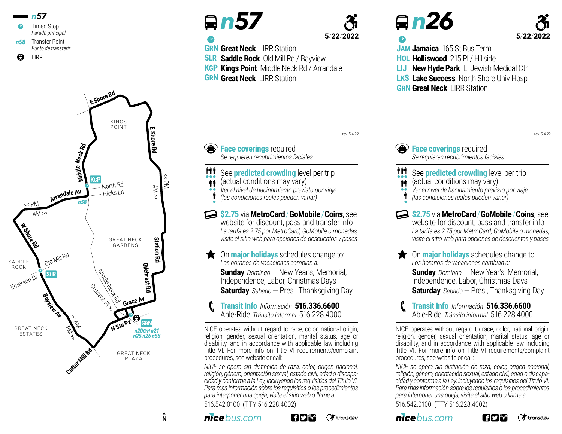



<sup>b</sup> *n 57*

**Example 2 Face coverings** required

**GRN Great Neck** LIRR Station

**GRN Great Neck** LIRR Station

**SLR Saddle Rock** Old Mill Rd / Bayview **KGP Kings Point** Middle Neck Rd / Arrandale

111 **tt** •• İ •

*Se requieren recubrimientos faciales*

See **predicted crowding** level per trip (actual conditions may vary) *Ver el nivel de hacinamiento previsto por viaje (las condiciones reales pueden variar)*



rev. 5.4.22

## <sup>b</sup> *n 26*



rev. 5.4.22

**JAM Jamaica** 165 St Bus Term **HOL Holliswood** 215 Pl / Hillside **LIJ LKS Lake Success** North Shore Univ Hosp **New Hyde Park** LI Jewish Medical Ctr

**GRN Great Neck** LIRR Station

**Face coverings** required *Se requieren recubrimientos faciales*

## See **predicted crowding** level per trip (actual conditions may vary) 111

- $\dot{\mathbf{r}}$
- *Ver el nivel de hacinamiento previsto por viaje* ••
- *(las condiciones reales pueden variar)* İ •

**\$2.75** via**MetroCard**/**GoMobile**/**Coins**; see website for discount, pass and transfer info *La tarifa es 2.75 por MetroCard, GoMobile o monedas; visite el sitio web para opciones de descuentos y pases* 

On **major holidays** schedules change to: *Los horarios de vacaciones cambian a:*  **Sunday** Domingo – New Year's, Memorial, Independence, Labor, Christmas Days **Saturday** *Sabado* —Pres., Thanksgiving Day

**Transit Info** *Información* **516.336.6600** Able-Ride *Tránsito informal* 516.228.4000 <sup>p</sup>

NICE operates without regard to race, color, national origin, religion, gender, sexual orientation, marital status, age or disability, and in accordance with applicable law including Title VI. For more info on Title VI requirements/complaint procedures, see website or call:

*NICE se opera sin distinción de raza, color, origen nacional, religión, género, orientación sexual, estado civil, edad o discapacidad y conforme a la Ley, incluyendo los requisitios del Titulo VI. Para mas información sobre los requisitios o los procedimientos para interponer una queja, visite el sitio web o llame a:* 516.542.0100 (TTY 516.228.4002)



*bus.com*

procedures, see website or call:

516.542.0100 (TTY 516.228.4002)



NICE operates without regard to race, color, national origin, religion, gender, sexual orientation, marital status, age or disability, and in accordance with applicable law including Title VI. For more info on Title VI requirements/complaint

**Transit Info** *Información* **516.336.6600** Able-Ride *Tránsito informal* 516.228.4000 <sup>p</sup>

On **major holidays** schedules change to:

**\$2.75** via**MetroCard**/**GoMobile**/**Coins**; see website for discount, pass and transfer info *La tarifa es 2.75 por MetroCard, GoMobile o monedas; visite el sitio web para opciones de descuentos y pases* 

> **Sunday** *Domingo* —New Year's, Memorial, Independence, Labor, Christmas Days **Saturday** *Sabado* —Pres., Thanksgiving Day

*Los horarios de vacaciones cambian a:* 

*NICE se opera sin distinción de raza, color, origen nacional, religión, género, orientación sexual, estado civil, edad o discapacidad y conforme a la Ley, incluyendo los requisitios del Titulo VI. Para mas información sobre los requisitios o los procedimientos para interponer una queja, visite el sitio web o llame a:*

(方transdev

*nicebus.com*